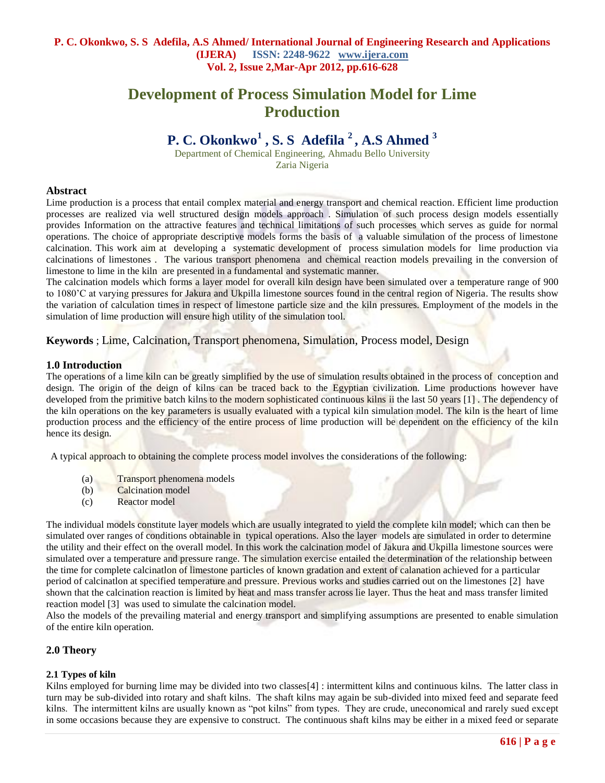# **Development of Process Simulation Model for Lime Production**

# **P. C. Okonkwo<sup>1</sup> , S. S Adefila <sup>2</sup> , A.S Ahmed <sup>3</sup>**

Department of Chemical Engineering, Ahmadu Bello University Zaria Nigeria

### **Abstract**

Lime production is a process that entail complex material and energy transport and chemical reaction. Efficient lime production processes are realized via well structured design models approach . Simulation of such process design models essentially provides Information on the attractive features and technical limitations of such processes which serves as guide for normal operations. The choice of appropriate descriptive models forms the basis of a valuable simulation of the process of limestone calcination. This work aim at developing a systematic development of process simulation models for lime production via calcinations of limestones . The various transport phenomena and chemical reaction models prevailing in the conversion of limestone to lime in the kiln are presented in a fundamental and systematic manner.

The calcination models which forms a layer model for overall kiln design have been simulated over a temperature range of 900 to 1080'C at varying pressures for Jakura and Ukpilla limestone sources found in the central region of Nigeria. The results show the variation of calculation times in respect of limestone particle size and the kiln pressures. Employment of the models in the simulation of lime production will ensure high utility of the simulation tool.

**Keywords** ; Lime, Calcination, Transport phenomena, Simulation, Process model, Design

## **1.0 Introduction**

The operations of a lime kiln can be greatly simplified by the use of simulation results obtained in the process of conception and design. The origin of the deign of kilns can be traced back to the Egyptian civilization. Lime productions however have developed from the primitive batch kilns to the modern sophisticated continuous kilns ii the last 50 years [1] . The dependency of the kiln operations on the key parameters is usually evaluated with a typical kiln simulation model. The kiln is the heart of lime production process and the efficiency of the entire process of lime production will be dependent on the efficiency of the kiln hence its design.

A typical approach to obtaining the complete process model involves the considerations of the following:

- (a) Transport phenomena models
- (b) Calcination model
- (c) Reactor model

The individual models constitute layer models which are usually integrated to yield the complete kiln model; which can then be simulated over ranges of conditions obtainable in typical operations. Also the layer models are simulated in order to determine the utility and their effect on the overall model. In this work the calcination model of Jakura and Ukpilla limestone sources were simulated over a temperature and pressure range. The simulation exercise entailed the determination of the relationship between the time for complete calcinatlon of limestone particles of known gradation and extent of calanation achieved for a particular period of calcinatlon at specified temperature and pressure. Previous works and studies carried out on the limestones [2] have shown that the calcination reaction is limited by heat and mass transfer across lie layer. Thus the heat and mass transfer limited reaction model [3] was used to simulate the calcination model.

Also the models of the prevailing material and energy transport and simplifying assumptions are presented to enable simulation of the entire kiln operation.

## **2.0 Theory**

## **2.1 Types of kiln**

Kilns employed for burning lime may be divided into two classes [4] : intermittent kilns and continuous kilns. The latter class in turn may be sub-divided into rotary and shaft kilns. The shaft kilns may again be sub-divided into mixed feed and separate feed kilns. The intermittent kilns are usually known as "pot kilns" from types. They are crude, uneconomical and rarely sued except in some occasions because they are expensive to construct. The continuous shaft kilns may be either in a mixed feed or separate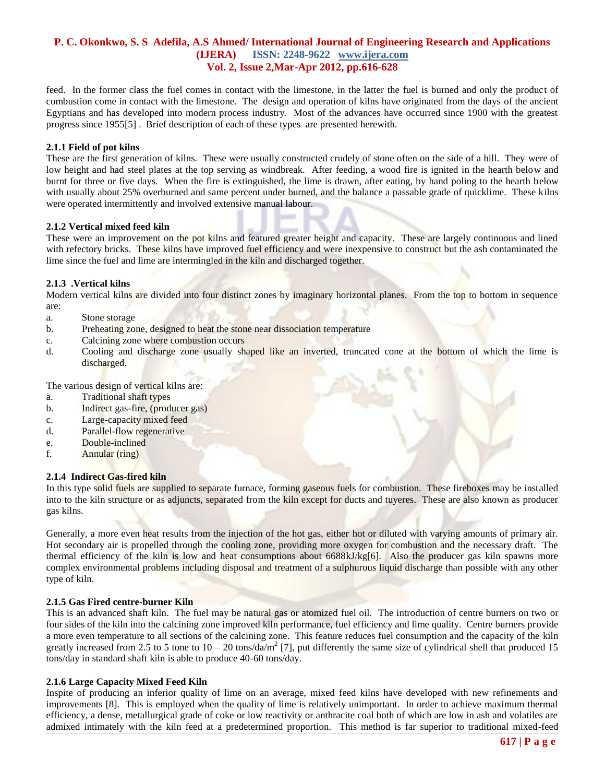feed. In the former class the fuel comes in contact with the limestone, in the latter the fuel is burned and only the product of combustion come in contact with the limestone. The design and operation of kilns have originated from the days of the ancient Egyptians and has developed into modern process industry. Most of the advances have occurred since 1900 with the greatest progress since 1955[5] . Brief description of each of these types are presented herewith.

#### **2.1.1 Field of pot kilns**

These are the first generation of kilns. These were usually constructed crudely of stone often on the side of a hill. They were of low height and had steel plates at the top serving as windbreak. After feeding, a wood fire is ignited in the hearth below and burnt for three or five days. When the fire is extinguished, the lime is drawn, after eating, by hand poling to the hearth below with usually about 25% overburned and same percent under burned, and the balance a passable grade of quicklime. These kilns were operated intermittently and involved extensive manual labour.

#### **2.1.2 Vertical mixed feed kiln**

These were an improvement on the pot kilns and featured greater height and capacity. These are largely continuous and lined with refectory bricks. These kilns have improved fuel efficiency and were inexpensive to construct but the ash contaminated the lime since the fuel and lime are intermingled in the kiln and discharged together.

#### **2.1.3 .Vertical kilns**

Modern vertical kilns are divided into four distinct zones by imaginary horizontal planes. From the top to bottom in sequence are:

- a. Stone storage
- b. Preheating zone, designed to heat the stone near dissociation temperature
- c. Calcining zone where combustion occurs
- d. Cooling and discharge zone usually shaped like an inverted, truncated cone at the bottom of which the lime is discharged.

The various design of vertical kilns are:

- a. Traditional shaft types
- b. Indirect gas-fire, (producer gas)
- c. Large-capacity mixed feed
- d. Parallel-flow regenerative
- e. Double-inclined
- f. Annular (ring)

#### **2.1.4 Indirect Gas-fired kiln**

In this type solid fuels are supplied to separate furnace, forming gaseous fuels for combustion. These fireboxes may be installed into to the kiln structure or as adjuncts, separated from the kiln except for ducts and tuyeres. These are also known as producer gas kilns.

Generally, a more even heat results from the injection of the hot gas, either hot or diluted with varying amounts of primary air. Hot secondary air is propelled through the cooling zone, providing more oxygen for combustion and the necessary draft. The thermal efficiency of the kiln is low and heat consumptions about  $6688kJ/kg[6]$ . Also the producer gas kiln spawns more complex environmental problems including disposal and treatment of a sulphurous liquid discharge than possible with any other type of kiln.

#### **2.1.5 Gas Fired centre-burner Kiln**

This is an advanced shaft kiln. The fuel may be natural gas or atomized fuel oil. The introduction of centre burners on two or four sides of the kiln into the calcining zone improved kiln performance, fuel efficiency and lime quality. Centre burners provide a more even temperature to all sections of the calcining zone. This feature reduces fuel consumption and the capacity of the kiln greatly increased from 2.5 to 5 tone to  $10 - 20$  tons/da/m<sup>2</sup> [7], put differently the same size of cylindrical shell that produced 15 tons/day in standard shaft kiln is able to produce 40-60 tons/day.

## **2.1.6 Large Capacity Mixed Feed Kiln**

Inspite of producing an inferior quality of lime on an average, mixed feed kilns have developed with new refinements and improvements [8]. This is employed when the quality of lime is relatively unimportant. In order to achieve maximum thermal efficiency, a dense, metallurgical grade of coke or low reactivity or anthracite coal both of which are low in ash and volatiles are admixed intimately with the kiln feed at a predetermined proportion. This method is far superior to traditional mixed-feed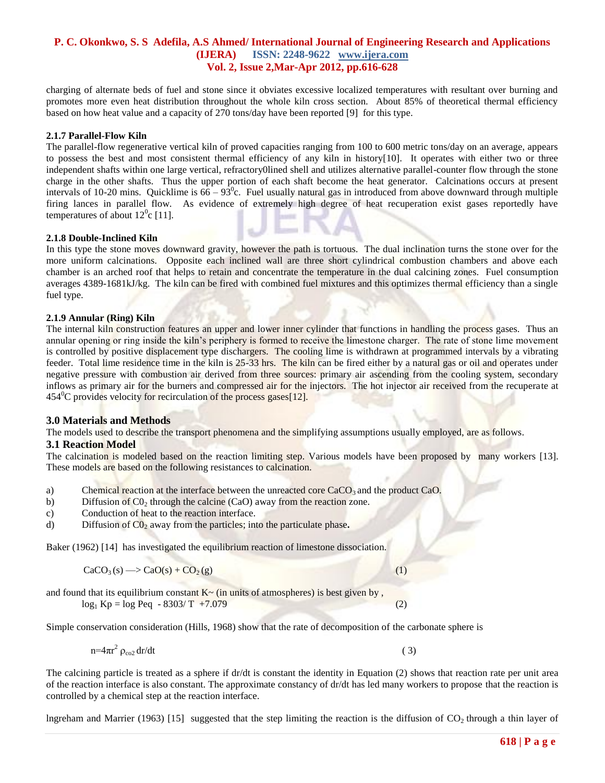charging of alternate beds of fuel and stone since it obviates excessive localized temperatures with resultant over burning and promotes more even heat distribution throughout the whole kiln cross section. About 85% of theoretical thermal efficiency based on how heat value and a capacity of 270 tons/day have been reported [9] for this type.

#### **2.1.7 Parallel-Flow Kiln**

The parallel-flow regenerative vertical kiln of proved capacities ranging from 100 to 600 metric tons/day on an average, appears to possess the best and most consistent thermal efficiency of any kiln in history[10]. It operates with either two or three independent shafts within one large vertical, refractory0lined shell and utilizes alternative parallel-counter flow through the stone charge in the other shafts. Thus the upper portion of each shaft become the heat generator. Calcinations occurs at present intervals of 10-20 mins. Quicklime is  $66 - 93^{\circ}$ c. Fuel usually natural gas in introduced from above downward through multiple firing lances in parallel flow. As evidence of extremely high degree of heat recuperation exist gases reportedly have temperatures of about  $12^0$ c [11].

#### **2.1.8 Double-Inclined Kiln**

In this type the stone moves downward gravity, however the path is tortuous. The dual inclination turns the stone over for the more uniform calcinations. Opposite each inclined wall are three short cylindrical combustion chambers and above each chamber is an arched roof that helps to retain and concentrate the temperature in the dual calcining zones. Fuel consumption averages 4389-1681kJ/kg. The kiln can be fired with combined fuel mixtures and this optimizes thermal efficiency than a single fuel type.

#### **2.1.9 Annular (Ring) Kiln**

The internal kiln construction features an upper and lower inner cylinder that functions in handling the process gases. Thus an annular opening or ring inside the kiln's periphery is formed to receive the limestone charger. The rate of stone lime movement is controlled by positive displacement type dischargers. The cooling lime is withdrawn at programmed intervals by a vibrating feeder. Total lime residence time in the kiln is 25-33 hrs. The kiln can be fired either by a natural gas or oil and operates under negative pressure with combustion air derived from three sources: primary air ascending from the cooling system, secondary inflows as primary air for the burners and compressed air for the injectors. The hot injector air received from the recuperate at  $454^{\circ}$ C provides velocity for recirculation of the process gases[12].

## **3.0 Materials and Methods**

The models used to describe the transport phenomena and the simplifying assumptions usually employed, are as follows.

#### **3.1 Reaction Model**

The calcination is modeled based on the reaction limiting step. Various models have been proposed by many workers [13]. These models are based on the following resistances to calcination.

- a) Chemical reaction at the interface between the unreacted core  $CaCO<sub>3</sub>$  and the product CaO.
- b) Diffusion of  $CO<sub>2</sub>$  through the calcine (CaO) away from the reaction zone.
- c) Conduction of heat to the reaction interface.
- d) Diffusion of  $CO<sub>2</sub>$  away from the particles; into the particulate phase.

Baker (1962) [14] has investigated the equilibrium reaction of limestone dissociation.

$$
CaCO3(s) \longrightarrow CaO(s) + CO2(g)
$$
 (1)

and found that its equilibrium constant  $K<sub>~</sub>$  (in units of atmospheres) is best given by,  $log_1 Kp = log Peq - 8303/T + 7.079$  (2)

Simple conservation consideration (Hills, 1968) show that the rate of decomposition of the carbonate sphere is

$$
n=4\pi r^2 \rho_{\rm co2} dr/dt \tag{3}
$$

The calcining particle is treated as a sphere if  $dr/dt$  is constant the identity in Equation (2) shows that reaction rate per unit area of the reaction interface is also constant. The approximate constancy of dr/dt has led many workers to propose that the reaction is controlled by a chemical step at the reaction interface.

lngreham and Marrier (1963) [15] suggested that the step limiting the reaction is the diffusion of  $CO<sub>2</sub>$  through a thin layer of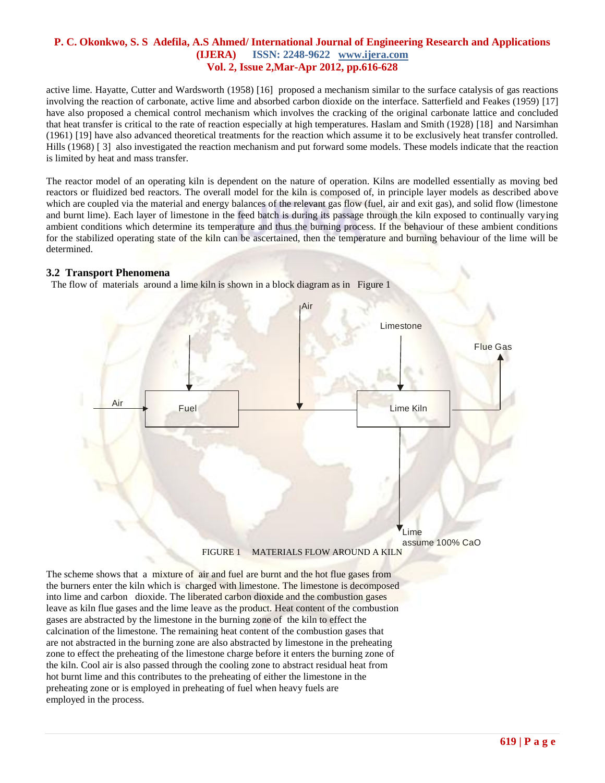active lime. Hayatte, Cutter and Wardsworth (1958) [16] proposed a mechanism similar to the surface catalysis of gas reactions involving the reaction of carbonate, active lime and absorbed carbon dioxide on the interface. Satterfield and Feakes (1959) [17] have also proposed a chemical control mechanism which involves the cracking of the original carbonate lattice and concluded that heat transfer is critical to the rate of reaction especially at high temperatures. Haslam and Smith (1928) [18] and Narsimhan (1961) [19] have also advanced theoretical treatments for the reaction which assume it to be exclusively heat transfer controlled. Hills (1968) [ 3] also investigated the reaction mechanism and put forward some models. These models indicate that the reaction is limited by heat and mass transfer.

The reactor model of an operating kiln is dependent on the nature of operation. Kilns are modelled essentially as moving bed reactors or fluidized bed reactors. The overall model for the kiln is composed of, in principle layer models as described above which are coupled via the material and energy balances of the relevant gas flow (fuel, air and exit gas), and solid flow (limestone and burnt lime). Each layer of limestone in the feed batch is during its passage through the kiln exposed to continually varying ambient conditions which determine its temperature and thus the burning process. If the behaviour of these ambient conditions for the stabilized operating state of the kiln can be ascertained, then the temperature and burning behaviour of the lime will be determined.

## **3.2 Transport Phenomena**

The flow of materials around a lime kiln is shown in a block diagram as in Figure 1



The scheme shows that a mixture of air and fuel are burnt and the hot flue gases from the burners enter the kiln which is charged with limestone. The limestone is decomposed into lime and carbon dioxide. The liberated carbon dioxide and the combustion gases leave as kiln flue gases and the lime leave as the product. Heat content of the combustion gases are abstracted by the limestone in the burning zone of the kiln to effect the calcination of the limestone. The remaining heat content of the combustion gases that are not abstracted in the burning zone are also abstracted by limestone in the preheating zone to effect the preheating of the limestone charge before it enters the burning zone of the kiln. Cool air is also passed through the cooling zone to abstract residual heat from hot burnt lime and this contributes to the preheating of either the limestone in the preheating zone or is employed in preheating of fuel when heavy fuels are employed in the process.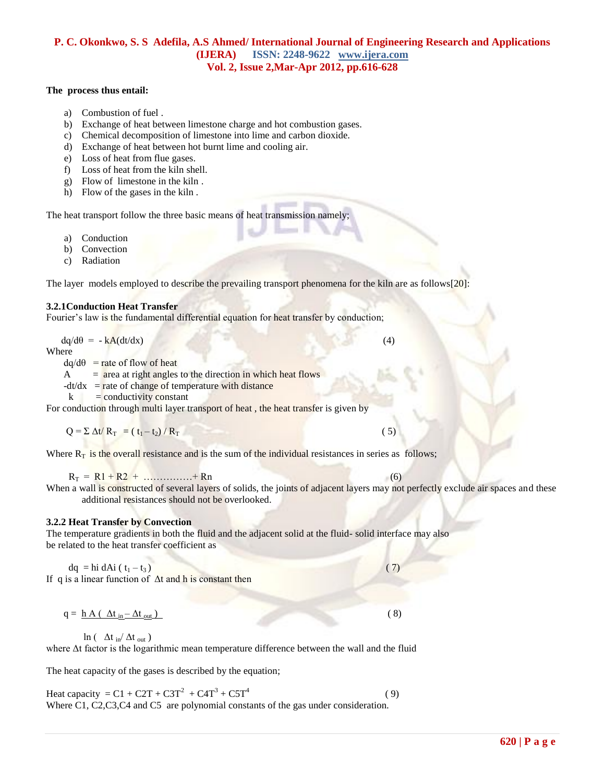#### **The process thus entail:**

- a) Combustion of fuel .
- b) Exchange of heat between limestone charge and hot combustion gases.
- c) Chemical decomposition of limestone into lime and carbon dioxide.
- d) Exchange of heat between hot burnt lime and cooling air.
- e) Loss of heat from flue gases.
- f) Loss of heat from the kiln shell.
- g) Flow of limestone in the kiln .
- h) Flow of the gases in the kiln .

The heat transport follow the three basic means of heat transmission namely;

- a) Conduction
- b) Convection
- c) Radiation

The layer models employed to describe the prevailing transport phenomena for the kiln are as follows[20]:

#### **3.2.1Conduction Heat Transfer**

Fourier's law is the fundamental differential equation for heat transfer by conduction;

 $dq/d\theta = -kA(dt/dx)$  (4)

Where

 $dq/d\theta$  = rate of flow of heat

 $A = area at right angles to the direction in which heat flows$ 

 $-dt/dx$  = rate of change of temperature with distance

 $k =$  conductivity constant

For conduction through multi layer transport of heat, the heat transfer is given by

 $Q = \sum \Delta t / R_{T} = (t_{1} - t_{2}) / R_{T}$  ( 5)

Where  $R_T$  is the overall resistance and is the sum of the individual resistances in series as follows;

 $R_T = R1 + R2 + \dots + Rn$  (6)

When a wall is constructed of several layers of solids, the joints of adjacent layers may not perfectly exclude air spaces and these additional resistances should not be overlooked.

#### **3.2.2 Heat Transfer by Convection**

#### The temperature gradients in both the fluid and the adjacent solid at the fluid- solid interface may also be related to the heat transfer coefficient as

dq = hi dAi ( $t_1 - t_3$ ) (7) If q is a linear function of  $\Delta t$  and h is constant then

$$
q = \underline{h} A (\Delta t_{in} - \Delta t_{out})
$$
 (8)

ln ( $\Delta t$  in  $/\Delta t$  out)

where Δt factor is the logarithmic mean temperature difference between the wall and the fluid

The heat capacity of the gases is described by the equation;

Heat capacity =  $C1 + C2T + C3T^2 + C4T^3 + C5T^4$  $(9)$ Where C1, C2, C3, C4 and C5 are polynomial constants of the gas under consideration.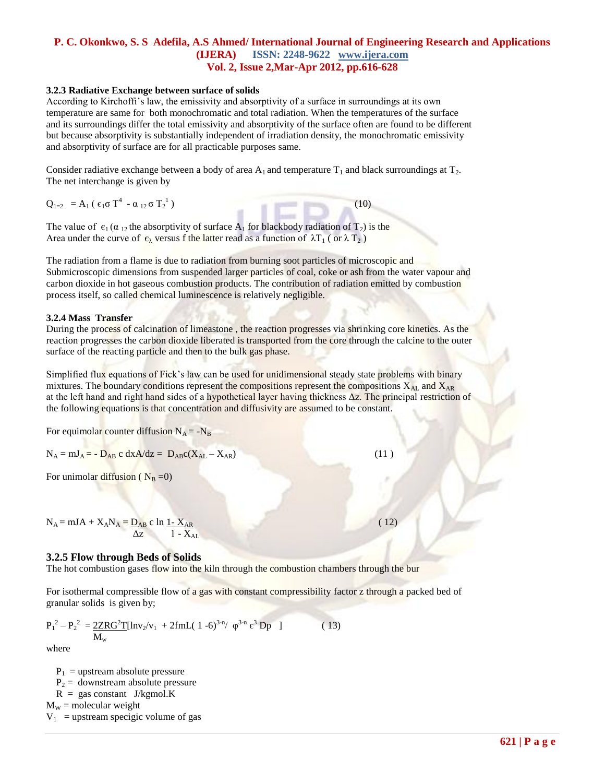#### **3.2.3 Radiative Exchange between surface of solids**

According to Kirchoffi's law, the emissivity and absorptivity of a surface in surroundings at its own temperature are same for both monochromatic and total radiation. When the temperatures of the surface and its surroundings differ the total emissivity and absorptivity of the surface often are found to be different but because absorptivity is substantially independent of irradiation density, the monochromatic emissivity and absorptivity of surface are for all practicable purposes same.

Consider radiative exchange between a body of area  $A_1$  and temperature  $T_1$  and black surroundings at  $T_2$ . The net interchange is given by

 $Q_{1=2}$  = A<sub>1</sub> ( $\epsilon_1 \sigma T^4$  -  $\alpha_{12} \sigma T_2^1$  $(10)$ 

The value of  $\epsilon_1$  ( $\alpha_{12}$  the absorptivity of surface A<sub>1</sub> for blackbody radiation of T<sub>2</sub>) is the Area under the curve of  $\epsilon_{\lambda}$  versus f the latter read as a function of  $\lambda T_1$  (or  $\lambda T_2$ )

The radiation from a flame is due to radiation from burning soot particles of microscopic and Submicroscopic dimensions from suspended larger particles of coal, coke or ash from the water vapour and carbon dioxide in hot gaseous combustion products. The contribution of radiation emitted by combustion process itself, so called chemical luminescence is relatively negligible.

#### **3.2.4 Mass Transfer**

During the process of calcination of limeastone , the reaction progresses via shrinking core kinetics. As the reaction progresses the carbon dioxide liberated is transported from the core through the calcine to the outer surface of the reacting particle and then to the bulk gas phase.

Simplified flux equations of Fick's law can be used for unidimensional steady state problems with binary mixtures. The boundary conditions represent the compositions represent the compositions  $X_{\text{AL}}$  and  $X_{\text{AR}}$ at the left hand and right hand sides of a hypothetical layer having thickness Δz. The principal restriction of the following equations is that concentration and diffusivity are assumed to be constant.

For equimolar counter diffusion  $N_A = -N_B$ 

 $N_A = mJ_A = -D_{AB} c dx A/dz = D_{AB} c(X_{AL} - X_{AR})$  (11)

For unimolar diffusion ( $N_B = 0$ )

 $N_A = mJA + X_AN_A = \underline{D_{AB}} c \ln \frac{1 - X_{AR}}{1 - k}$  (12)  $\Delta z$  1 -  $X_{AL}$ 

## **3.2.5 Flow through Beds of Solids**

The hot combustion gases flow into the kiln through the combustion chambers through the bur

For isothermal compressible flow of a gas with constant compressibility factor z through a packed bed of granular solids is given by;

$$
P_1^2 - P_2^2 = \frac{2ZRG^2T[lnv_2/v_1 + 2fmL(1-6)^{3-n} / \varphi^{3-n} \epsilon^3 Dp ]}{M_w}
$$
 (13)

where

 $P_1$  = upstream absolute pressure  $P_2$  = downstream absolute pressure  $R = gas constant$  J/kgmol.K  $M_W$  = molecular weight  $V_1$  = upstream specigic volume of gas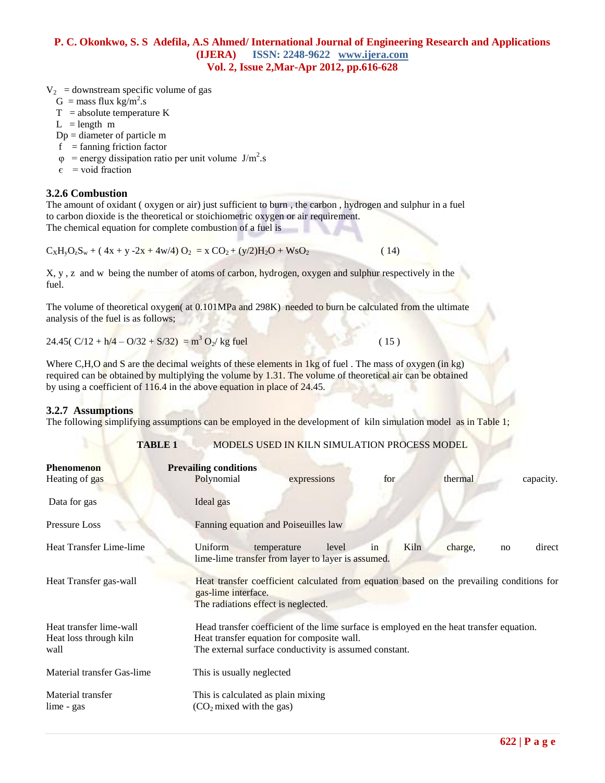$V_2$  = downstream specific volume of gas

- $G = \text{mass flux kg/m}^2$ .s
- $T =$ absolute temperature K
- $L = length m$
- Dp = diameter of particle m
- $f = \text{fanning friction factor}$
- $\varphi$  = energy dissipation ratio per unit volume J/m<sup>2</sup>.s
	- $\epsilon$  = void fraction

# **3.2.6 Combustion**

The amount of oxidant ( oxygen or air) just sufficient to burn , the carbon , hydrogen and sulphur in a fuel to carbon dioxide is the theoretical or stoichiometric oxygen or air requirement. The chemical equation for complete combustion of a fuel is

 $C_XH_VO_2S_W + (4x + y -2x + 4w/4) O_2 = x CO_2 + (y/2)H_2O + W_2O_2$  (14)

X, y , z and w being the number of atoms of carbon, hydrogen, oxygen and sulphur respectively in the fuel.

The volume of theoretical oxygen( at  $0.101MPa$  and 298K) needed to burn be calculated from the ultimate analysis of the fuel is as follows;

24.45(  $C/12 + h/4 - O/32 + S/32$ ) = m<sup>3</sup> O<sub>2</sub>/ kg fuel (15)

Where C,H,O and S are the decimal weights of these elements in 1kg of fuel. The mass of oxygen (in kg) required can be obtained by multiplying the volume by 1.31. The volume of theoretical air can be obtained by using a coefficient of 116.4 in the above equation in place of 24.45.

# **3.2.7 Assumptions**

The following simplifying assumptions can be employed in the development of kiln simulation model as in Table 1;

## **TABLE 1** MODELS USED IN KILN SIMULATION PROCESS MODEL

| <b>Phenomenon</b><br>Heating of gas                       | <b>Prevailing conditions</b><br>Polynomial | expressions                                                                                                                                                                                      | for        | thermal | capacity.    |  |
|-----------------------------------------------------------|--------------------------------------------|--------------------------------------------------------------------------------------------------------------------------------------------------------------------------------------------------|------------|---------|--------------|--|
| Data for gas                                              | Ideal gas                                  |                                                                                                                                                                                                  |            |         |              |  |
| Pressure Loss                                             |                                            | Fanning equation and Poiseuilles law                                                                                                                                                             |            |         |              |  |
| Heat Transfer Lime-lime                                   | Uniform                                    | temperature<br>level<br>lime-lime transfer from layer to layer is assumed.                                                                                                                       | Kiln<br>in | charge, | direct<br>no |  |
| Heat Transfer gas-wall                                    | gas-lime interface.                        | Heat transfer coefficient calculated from equation based on the prevailing conditions for<br>The radiations effect is neglected.                                                                 |            |         |              |  |
| Heat transfer lime-wall<br>Heat loss through kiln<br>wall |                                            | Head transfer coefficient of the lime surface is employed en the heat transfer equation.<br>Heat transfer equation for composite wall.<br>The external surface conductivity is assumed constant. |            |         |              |  |
| Material transfer Gas-lime                                |                                            | This is usually neglected                                                                                                                                                                        |            |         |              |  |
| Material transfer<br>lime - gas                           |                                            | This is calculated as plain mixing<br>(CO <sub>2</sub> mixed with the gas)                                                                                                                       |            |         |              |  |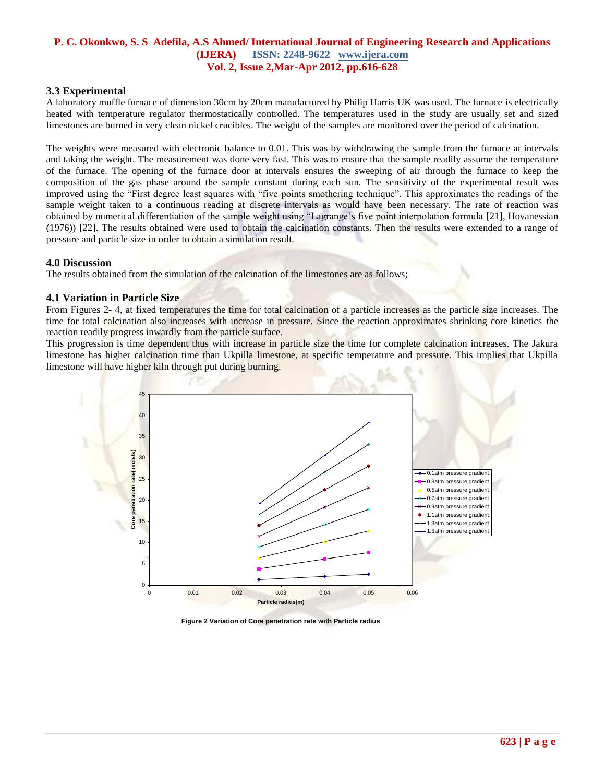## **3.3 Experimental**

A laboratory muffle furnace of dimension 30cm by 20cm manufactured by Philip Harris UK was used. The furnace is electrically heated with temperature regulator thermostatically controlled. The temperatures used in the study are usually set and sized limestones are burned in very clean nickel crucibles. The weight of the samples are monitored over the period of calcination.

The weights were measured with electronic balance to 0.01. This was by withdrawing the sample from the furnace at intervals and taking the weight. The measurement was done very fast. This was to ensure that the sample readily assume the temperature of the furnace. The opening of the furnace door at intervals ensures the sweeping of air through the furnace to keep the composition of the gas phase around the sample constant during each sun. The sensitivity of the experimental result was improved using the "First degree least squares with "five points smothering technique". This approximates the readings of the sample weight taken to a continuous reading at discrete intervals as would have been necessary. The rate of reaction was obtained by numerical differentiation of the sample weight using "Lagrange's five point interpolation formula [21], Hovanessian (1976)) [22]. The results obtained were used to obtain the calcination constants. Then the results were extended to a range of pressure and particle size in order to obtain a simulation result.

#### **4.0 Discussion**

The results obtained from the simulation of the calcination of the limestones are as follows;

#### **4.1 Variation in Particle Size**

From Figures 2- 4, at fixed temperatures the time for total calcination of a particle increases as the particle size increases. The time for total calcination also increases with increase in pressure. Since the reaction approximates shrinking core kinetics the reaction readily progress inwardly from the particle surface.

This progression is time dependent thus with increase in particle size the time for complete calcination increases. The Jakura limestone has higher calcination time than Ukpilla limestone, at specific temperature and pressure. This implies that Ukpilla limestone will have higher kiln through put during burning.



**Figure 2 Variation of Core penetration rate with Particle radius**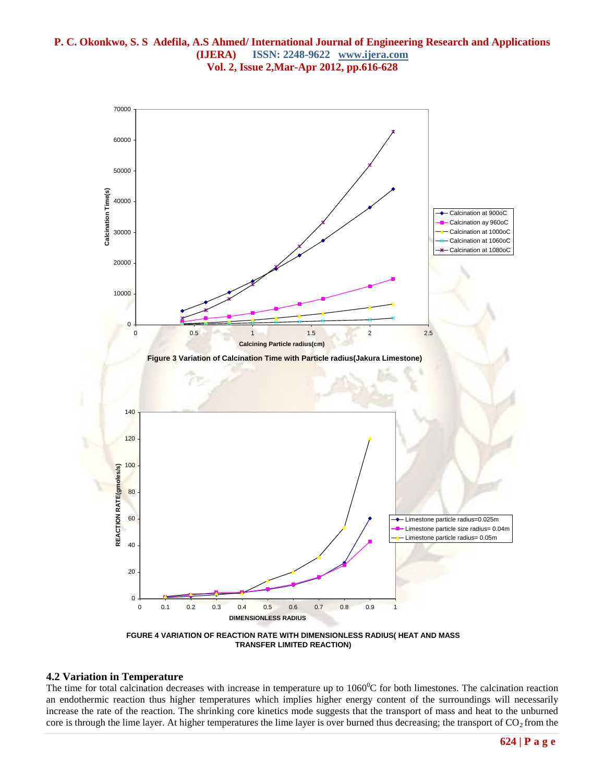

#### **TRANSFER LIMITED REACTION)**

#### **4.2 Variation in Temperature**

The time for total calcination decreases with increase in temperature up to  $1060^{\circ}$ C for both limestones. The calcination reaction an endothermic reaction thus higher temperatures which implies higher energy content of the surroundings will necessarily increase the rate of the reaction. The shrinking core kinetics mode suggests that the transport of mass and heat to the unburned core is through the lime layer. At higher temperatures the lime layer is over burned thus decreasing; the transport of  $CO<sub>2</sub>$  from the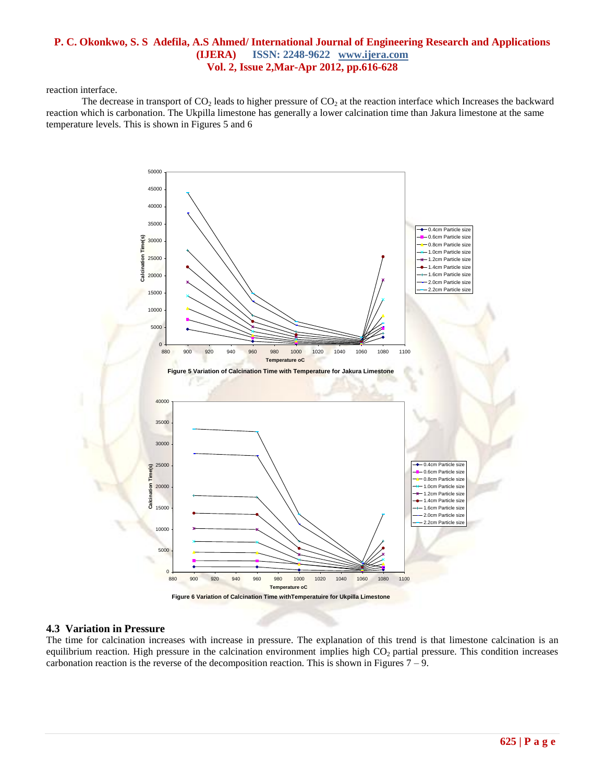reaction interface.

The decrease in transport of  $CO_2$  leads to higher pressure of  $CO_2$  at the reaction interface which Increases the backward reaction which is carbonation. The Ukpilla limestone has generally a lower calcination time than Jakura limestone at the same temperature levels. This is shown in Figures 5 and 6



## **4.3 Variation in Pressure**

The time for calcination increases with increase in pressure. The explanation of this trend is that limestone calcination is an equilibrium reaction. High pressure in the calcination environment implies high  $CO<sub>2</sub>$  partial pressure. This condition increases carbonation reaction is the reverse of the decomposition reaction. This is shown in Figures  $7 - 9$ .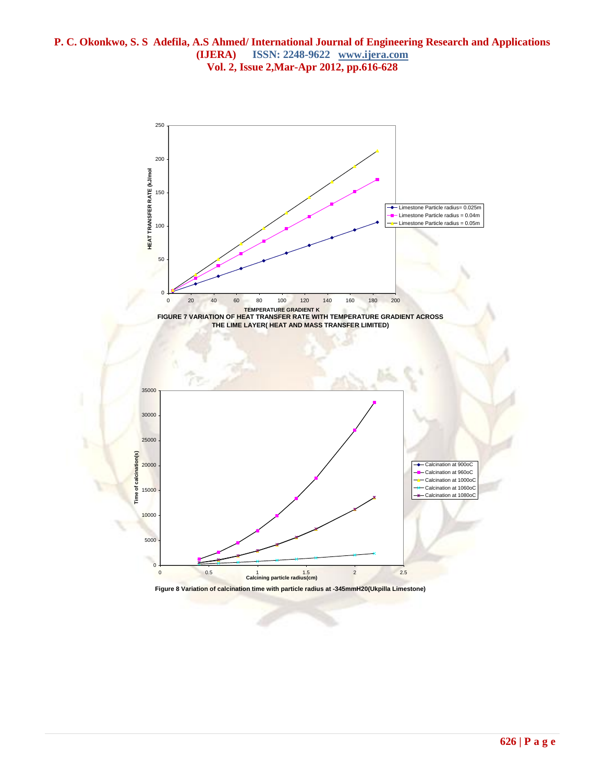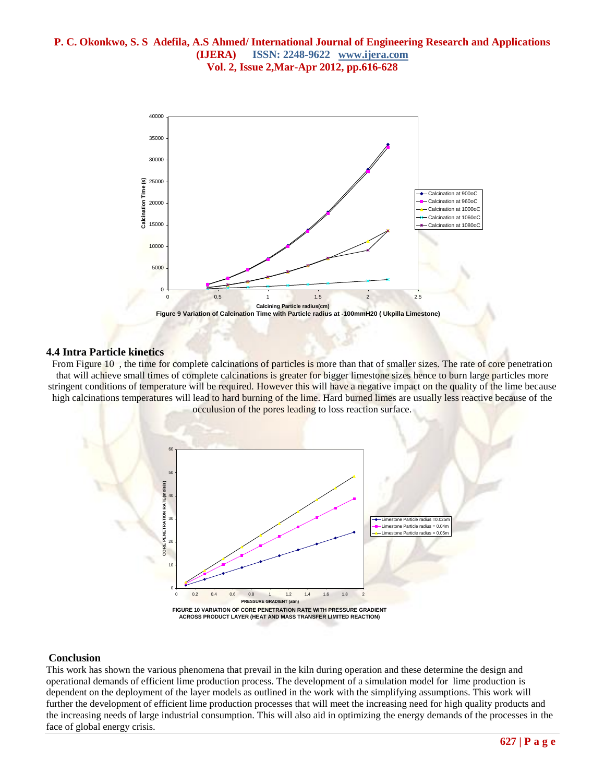

## **4.4 Intra Particle kinetics**

From Figure 10 , the time for complete calcinations of particles is more than that of smaller sizes. The rate of core penetration that will achieve small times of complete calcinations is greater for bigger limestone sizes hence to burn large particles more stringent conditions of temperature will be required. However this will have a negative impact on the quality of the lime because high calcinations temperatures will lead to hard burning of the lime. Hard burned limes are usually less reactive because of the occulusion of the pores leading to loss reaction surface.



#### **Conclusion**

This work has shown the various phenomena that prevail in the kiln during operation and these determine the design and operational demands of efficient lime production process. The development of a simulation model for lime production is dependent on the deployment of the layer models as outlined in the work with the simplifying assumptions. This work will further the development of efficient lime production processes that will meet the increasing need for high quality products and the increasing needs of large industrial consumption. This will also aid in optimizing the energy demands of the processes in the face of global energy crisis.